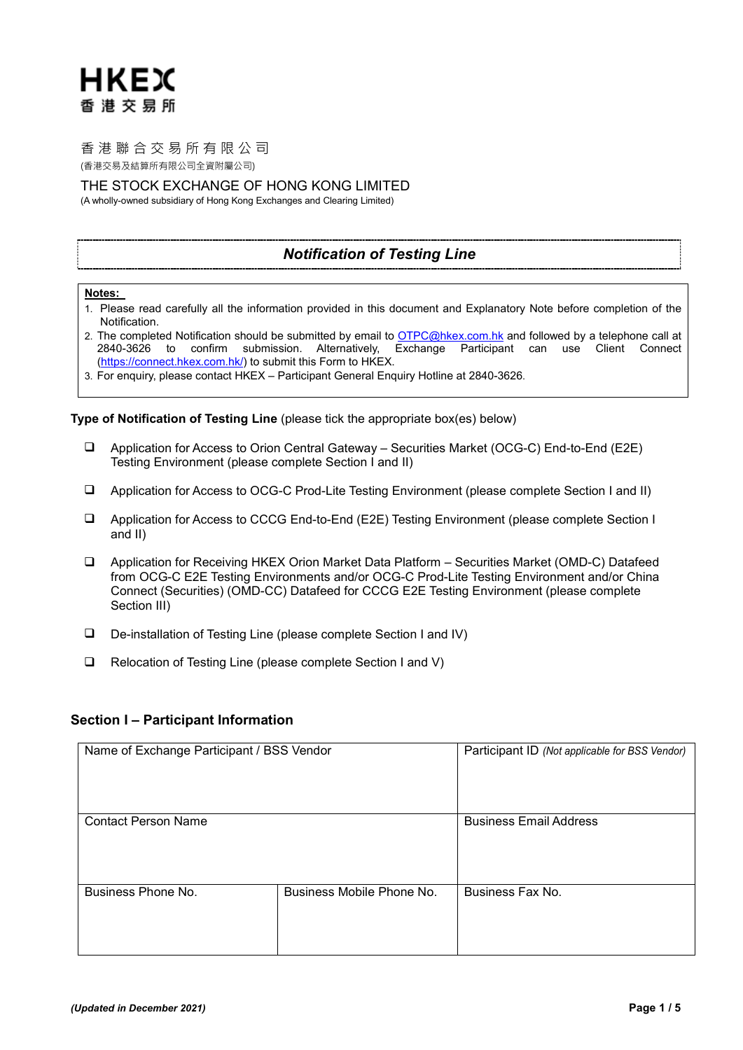# 香港聯合交易所有限公司

(香港交易及結算所有限公司全資附屬公司)

THE STOCK EXCHANGE OF HONG KONG LIMITED

(A wholly-owned subsidiary of Hong Kong Exchanges and Clearing Limited)

# *Notification of Testing Line*

### **Notes:**

- 1. Please read carefully all the information provided in this document and Explanatory Note before completion of the Notification.
- 2. The completed Notification should be submitted by email t[o OTPC@hkex.com.hk](mailto:OTPC@hkex.com.hk) and followed by a telephone call at 2840-3626 to confirm submission. Alternatively, Exchange Participant can use Client Connect [\(https://connect.hkex.com.hk/\)](https://connect.hkex.com.hk/) to submit this Form to HKEX.
- 3. For enquiry, please contact HKEX Participant General Enquiry Hotline at 2840-3626.

**Type of Notification of Testing Line** (please tick the appropriate box(es) below)

- Application for Access to Orion Central Gateway Securities Market (OCG-C) End-to-End (E2E) Testing Environment (please complete Section I and II)
- Application for Access to OCG-C Prod-Lite Testing Environment (please complete Section I and II)
- Application for Access to CCCG End-to-End (E2E) Testing Environment (please complete Section I and II)
- Application for Receiving HKEX Orion Market Data Platform Securities Market (OMD-C) Datafeed from OCG-C E2E Testing Environments and/or OCG-C Prod-Lite Testing Environment and/or China Connect (Securities) (OMD-CC) Datafeed for CCCG E2E Testing Environment (please complete Section III)
- De-installation of Testing Line (please complete Section I and IV)
- □ Relocation of Testing Line (please complete Section I and V)

### **Section I – Participant Information**

| Name of Exchange Participant / BSS Vendor |                           | Participant ID (Not applicable for BSS Vendor) |
|-------------------------------------------|---------------------------|------------------------------------------------|
| <b>Contact Person Name</b>                |                           | <b>Business Email Address</b>                  |
| Business Phone No.                        | Business Mobile Phone No. | Business Fax No.                               |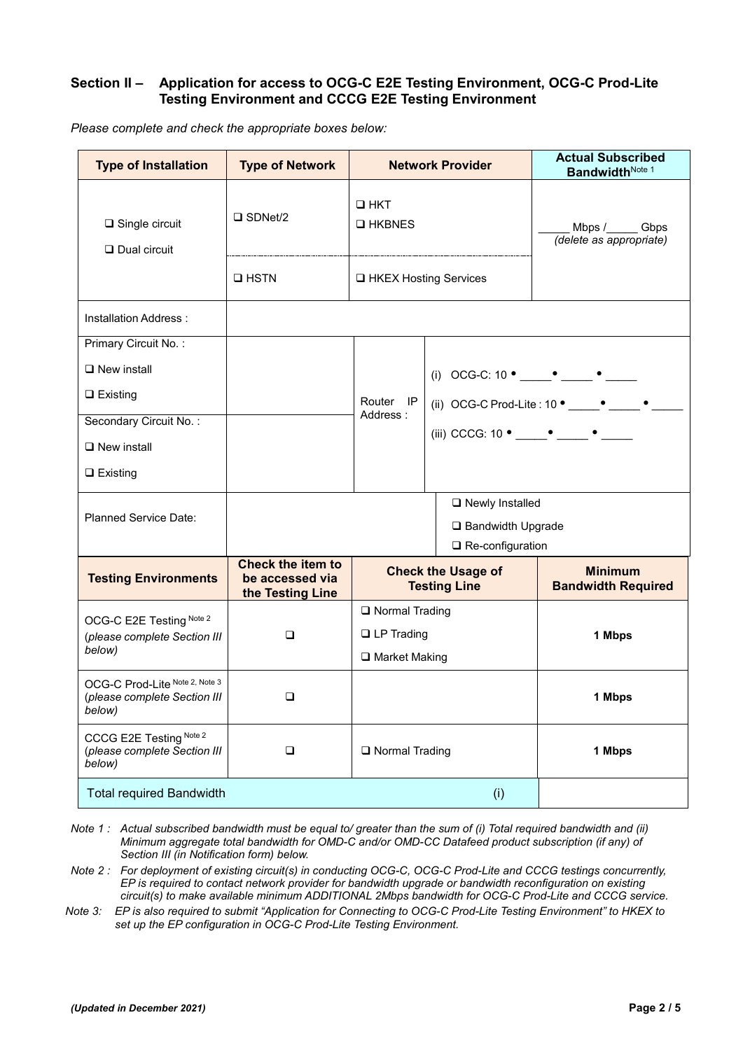## **Section II – Application for access to OCG-C E2E Testing Environment, OCG-C Prod-Lite Testing Environment and CCCG E2E Testing Environment**

| <b>Type of Installation</b>                                              | <b>Type of Network</b>                                          |                                  | <b>Network Provider</b>                                | <b>Actual Subscribed</b><br>BandwidthNote 1  |
|--------------------------------------------------------------------------|-----------------------------------------------------------------|----------------------------------|--------------------------------------------------------|----------------------------------------------|
| $\square$ Single circuit<br>$\Box$ Dual circuit                          | $\square$ SDNet/2                                               | $\square$ HKT<br><b>Q</b> HKBNES |                                                        | Mbps /______ Gbps<br>(delete as appropriate) |
|                                                                          | $\Box$ HSTN                                                     | □ HKEX Hosting Services          |                                                        |                                              |
| Installation Address:                                                    |                                                                 |                                  |                                                        |                                              |
| Primary Circuit No.:                                                     |                                                                 |                                  |                                                        |                                              |
| $\Box$ New install                                                       |                                                                 |                                  |                                                        |                                              |
| $\Box$ Existing                                                          |                                                                 | Router IP                        |                                                        |                                              |
| Secondary Circuit No.:                                                   |                                                                 | Address:                         | (iii) CCCG: 10 $\bullet$ $\bullet$ $\bullet$ $\bullet$ |                                              |
| $\Box$ New install                                                       |                                                                 |                                  |                                                        |                                              |
| $\Box$ Existing                                                          |                                                                 |                                  |                                                        |                                              |
|                                                                          |                                                                 |                                  | □ Newly Installed                                      |                                              |
| Planned Service Date:                                                    |                                                                 |                                  | □ Bandwidth Upgrade                                    |                                              |
|                                                                          |                                                                 |                                  | $\Box$ Re-configuration                                |                                              |
| <b>Testing Environments</b>                                              | <b>Check the item to</b><br>be accessed via<br>the Testing Line |                                  | <b>Check the Usage of</b><br><b>Testing Line</b>       | <b>Minimum</b><br><b>Bandwidth Required</b>  |
| OCG-C E2E Testing Note 2                                                 |                                                                 | □ Normal Trading                 |                                                        |                                              |
| (please complete Section III<br>below)                                   | $\Box$                                                          | $\Box$ LP Trading                |                                                        | 1 Mbps                                       |
|                                                                          |                                                                 | □ Market Making                  |                                                        |                                              |
| OCG-C Prod-Lite Note 2, Note 3<br>(please complete Section III<br>below) | $\Box$                                                          |                                  |                                                        | 1 Mbps                                       |
| CCCG E2E Testing Note 2<br>(please complete Section III<br>below)        | $\Box$                                                          | □ Normal Trading                 |                                                        | 1 Mbps                                       |
| <b>Total required Bandwidth</b>                                          |                                                                 |                                  | (i)                                                    |                                              |

*Please complete and check the appropriate boxes below:*

*Note 1 : Actual subscribed bandwidth must be equal to/ greater than the sum of (i) Total required bandwidth and (ii) Minimum aggregate total bandwidth for OMD-C and/or OMD-CC Datafeed product subscription (if any) of Section III (in Notification form) below.* 

*Note 2 : For deployment of existing circuit(s) in conducting OCG-C, OCG-C Prod-Lite and CCCG testings concurrently, EP is required to contact network provider for bandwidth upgrade or bandwidth reconfiguration on existing circuit(s) to make available minimum ADDITIONAL 2Mbps bandwidth for OCG-C Prod-Lite and CCCG service.* 

*Note 3: EP is also required to submit "Application for Connecting to OCG-C Prod-Lite Testing Environment" to HKEX to set up the EP configuration in OCG-C Prod-Lite Testing Environment.*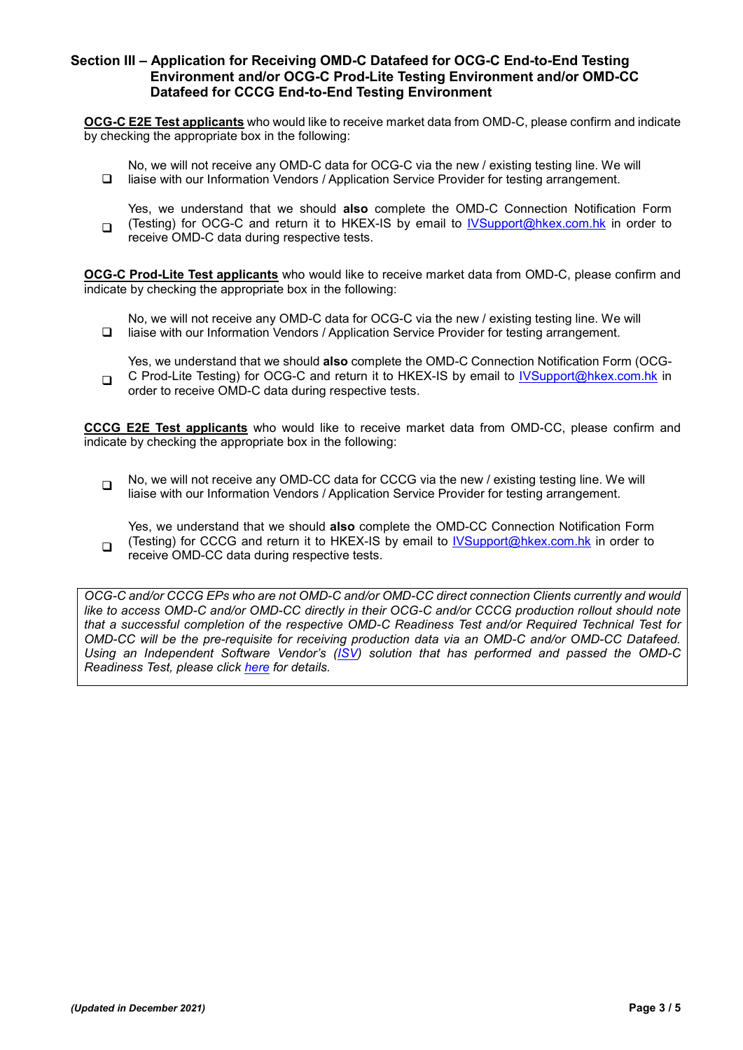### **Section III – Application for Receiving OMD-C Datafeed for OCG-C End-to-End Testing Environment and/or OCG-C Prod-Lite Testing Environment and/or OMD-CC Datafeed for CCCG End-to-End Testing Environment**

**OCG-C E2E Test applicants** who would like to receive market data from OMD-C, please confirm and indicate by checking the appropriate box in the following:

 $\Box$ No, we will not receive any OMD-C data for OCG-C via the new / existing testing line. We will liaise with our Information Vendors / Application Service Provider for testing arrangement.

 $\Box$ Yes, we understand that we should **also** complete the OMD-C Connection Notification Form (Testing) for OCG-C and return it to HKEX-IS by email to [IVSupport@hkex.com.hk](mailto:IVSupport@hkex.com.hk) in order to receive OMD-C data during respective tests.

**OCG-C Prod-Lite Test applicants** who would like to receive market data from OMD-C, please confirm and indicate by checking the appropriate box in the following:

 $\Box$ No, we will not receive any OMD-C data for OCG-C via the new / existing testing line. We will liaise with our Information Vendors / Application Service Provider for testing arrangement.

 $\Box$ Yes, we understand that we should **also** complete the OMD-C Connection Notification Form (OCG-C Prod-Lite Testing) for OCG-C and return it to HKEX-IS by email to [IVSupport@hkex.com.hk](mailto:IVSupport@hkex.com.hk) in order to receive OMD-C data during respective tests.

**CCCG E2E Test applicants** who would like to receive market data from OMD-CC, please confirm and indicate by checking the appropriate box in the following:

 $\Box$  No, we will not receive any OMD-CC data for CCCG via the new / existing testing line. We will liaise with our Information Vendors / Application Service Provider for testing arrangement.

 $\Box$ Yes, we understand that we should **also** complete the OMD-CC Connection Notification Form (Testing) for CCCG and return it to HKEX-IS by email to [IVSupport@hkex.com.hk](mailto:IVSupport@hkex.com.hk) in order to receive OMD-CC data during respective tests.

*OCG-C and/or CCCG EPs who are not OMD-C and/or OMD-CC direct connection Clients currently and would like to access OMD-C and/or OMD-CC directly in their OCG-C and/or CCCG production rollout should note that a successful completion of the respective OMD-C Readiness Test and/or Required Technical Test for OMD-CC will be the pre-requisite for receiving production data via an OMD-C and/or OMD-CC Datafeed. Using an Independent Software Vendor's [\(ISV\)](http://www.hkex.com.hk/-/media/HKEX-Market/Services/Market-Data-Services/Real-Time-Data-Services/Testing-Services/Independent-Software-Vendor/List-of-Independent-Software-Vendor/ISV-List.pdf) solution that has performed and passed the OMD-C Readiness Test, please click [here](http://www.hkex.com.hk/Services/Market-Data-Services/Real-Time-Data-Services/Testing-Services/Independent-Software-Vendor?sc_lang=en) for details.*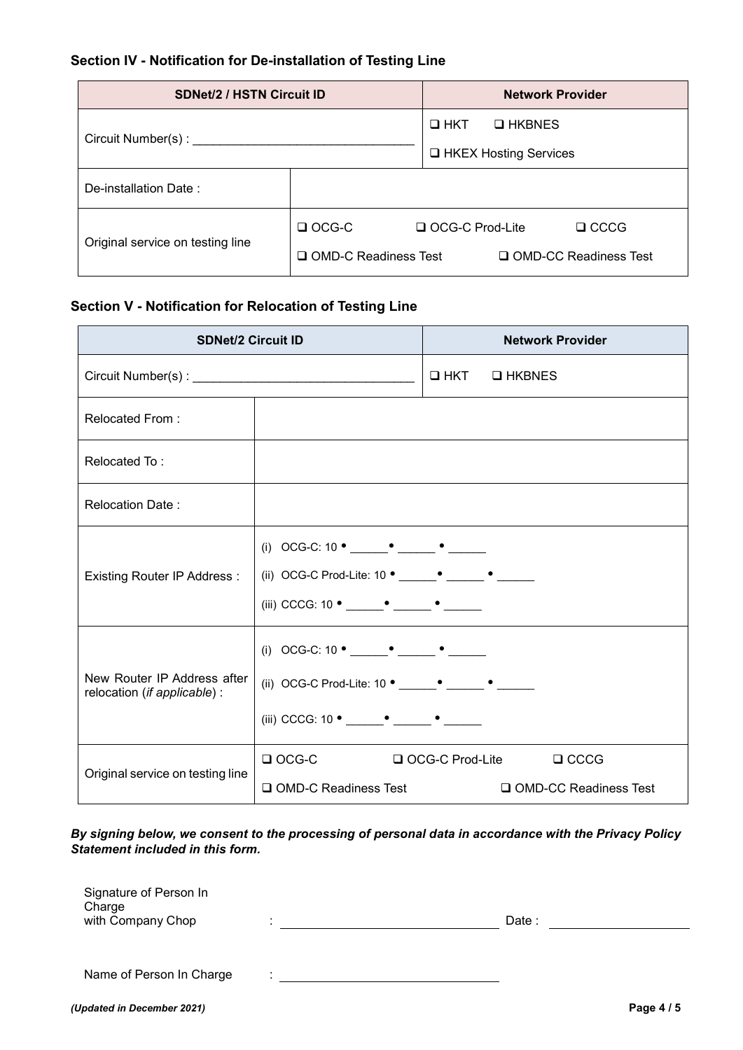# **Section IV - Notification for De-installation of Testing Line**

| <b>SDNet/2 / HSTN Circuit ID</b> |                             | <b>Network Provider</b>          |  |  |
|----------------------------------|-----------------------------|----------------------------------|--|--|
| Circuit Number(s) : ________     |                             | $\square$ HKT<br><b>Q</b> HKBNES |  |  |
|                                  |                             | □ HKEX Hosting Services          |  |  |
| De-installation Date:            |                             |                                  |  |  |
| Original service on testing line | $\Box$ OCG-C                | $\Box$ CCCG<br>□ OCG-C Prod-Lite |  |  |
|                                  | $\Box$ OMD-C Readiness Test | □ OMD-CC Readiness Test          |  |  |

# **Section V - Notification for Relocation of Testing Line**

| <b>SDNet/2 Circuit ID</b>                                   |                                                            |              | <b>Network Provider</b> |
|-------------------------------------------------------------|------------------------------------------------------------|--------------|-------------------------|
|                                                             |                                                            | OHKT OHKBNES |                         |
| Relocated From:                                             |                                                            |              |                         |
| Relocated To:                                               |                                                            |              |                         |
| <b>Relocation Date:</b>                                     |                                                            |              |                         |
| Existing Router IP Address :                                | (ii) OCG-C Prod-Lite: 10 ° ______ ° ______ ° ______        |              |                         |
| New Router IP Address after<br>relocation (if applicable) : | (ii) OCG-C Prod-Lite: 10 ° ______ ° ______ ° ______        |              |                         |
| Original service on testing line                            | □ OCG-C □ OCG-C Prod-Lite □ CCCG<br>□ OMD-C Readiness Test |              | □ OMD-CC Readiness Test |

*By signing below, we consent to the processing of personal data in accordance with the Privacy Policy Statement included in this form.*

| Signature of Person In<br>Charge<br>with Company Chop |              | Date : |
|-------------------------------------------------------|--------------|--------|
|                                                       |              |        |
| Name of Person In Charge                              | $\mathbf{r}$ |        |